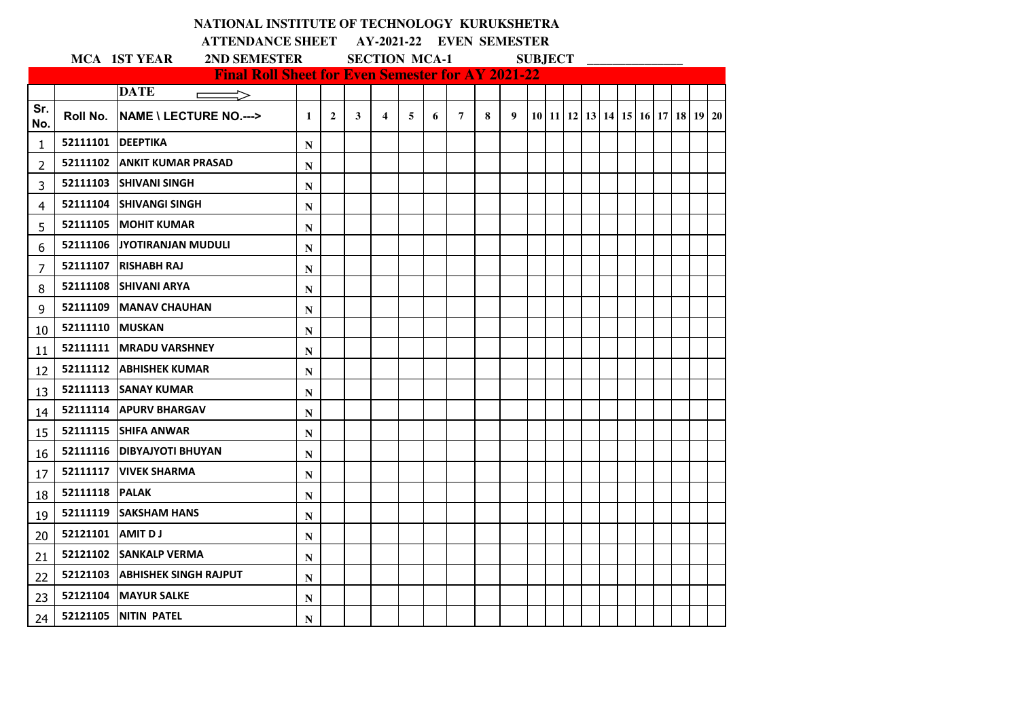|                 |          | NATIONAL INSTITUTE OF TECHNOLOGY KURUKSHETRA             |              |                |   |                         |   |   |                |   |   |                |  |  |  |                                                      |  |
|-----------------|----------|----------------------------------------------------------|--------------|----------------|---|-------------------------|---|---|----------------|---|---|----------------|--|--|--|------------------------------------------------------|--|
|                 |          | <b>ATTENDANCE SHEET AY-2021-22 EVEN SEMESTER</b>         |              |                |   |                         |   |   |                |   |   |                |  |  |  |                                                      |  |
|                 |          | 2ND SEMESTER<br><b>MCA 1ST YEAR</b>                      |              |                |   | <b>SECTION MCA-1</b>    |   |   |                |   |   | <b>SUBJECT</b> |  |  |  |                                                      |  |
|                 |          | <b>Final Roll Sheet for Even Semester for AY 2021-22</b> |              |                |   |                         |   |   |                |   |   |                |  |  |  |                                                      |  |
| Sr.             |          | <b>DATE</b><br>$\Rightarrow$<br>$\overline{\phantom{a}}$ |              |                |   |                         |   |   |                |   |   |                |  |  |  |                                                      |  |
| No.             | Roll No. |                                                          | $\mathbf{1}$ | $\overline{2}$ | 3 | $\overline{\mathbf{4}}$ | 5 | 6 | $\overline{7}$ | 8 | 9 |                |  |  |  | 10   11   12   13   14   15   16   17   18   19   20 |  |
| 1               | 52111101 | <b>DEEPTIKA</b>                                          | N            |                |   |                         |   |   |                |   |   |                |  |  |  |                                                      |  |
| 2               | 52111102 | <b>ANKIT KUMAR PRASAD</b>                                | N            |                |   |                         |   |   |                |   |   |                |  |  |  |                                                      |  |
| 3               | 52111103 | <b>ISHIVANI SINGH</b>                                    | N            |                |   |                         |   |   |                |   |   |                |  |  |  |                                                      |  |
| 4               | 52111104 | <b>ISHIVANGI SINGH</b>                                   | N            |                |   |                         |   |   |                |   |   |                |  |  |  |                                                      |  |
| 5               | 52111105 | <b>MOHIT KUMAR</b>                                       | N            |                |   |                         |   |   |                |   |   |                |  |  |  |                                                      |  |
| 6               |          | 52111106 JYOTIRANJAN MUDULI                              | N            |                |   |                         |   |   |                |   |   |                |  |  |  |                                                      |  |
| 7               | 52111107 | <b>RISHABH RAJ</b>                                       | N            |                |   |                         |   |   |                |   |   |                |  |  |  |                                                      |  |
| 8               | 52111108 | <b>SHIVANI ARYA</b>                                      | N            |                |   |                         |   |   |                |   |   |                |  |  |  |                                                      |  |
| 9               | 52111109 | <b>MANAV CHAUHAN</b>                                     | N            |                |   |                         |   |   |                |   |   |                |  |  |  |                                                      |  |
| 10              | 52111110 | <b>MUSKAN</b>                                            | N            |                |   |                         |   |   |                |   |   |                |  |  |  |                                                      |  |
| 11              |          | 52111111   MRADU VARSHNEY                                | N            |                |   |                         |   |   |                |   |   |                |  |  |  |                                                      |  |
| 12              |          | 52111112   ABHISHEK KUMAR                                | N            |                |   |                         |   |   |                |   |   |                |  |  |  |                                                      |  |
| 13              |          | 52111113 SANAY KUMAR                                     | N            |                |   |                         |   |   |                |   |   |                |  |  |  |                                                      |  |
| 14              | 52111114 | <b>APURV BHARGAV</b>                                     | N            |                |   |                         |   |   |                |   |   |                |  |  |  |                                                      |  |
| 15              |          | 52111115 SHIFA ANWAR                                     | N            |                |   |                         |   |   |                |   |   |                |  |  |  |                                                      |  |
| 16              |          | 52111116   DIBYAJYOTI BHUYAN                             | N            |                |   |                         |   |   |                |   |   |                |  |  |  |                                                      |  |
| 17              | 52111117 | <b>VIVEK SHARMA</b>                                      | N            |                |   |                         |   |   |                |   |   |                |  |  |  |                                                      |  |
| 18              | 52111118 | <b>PALAK</b>                                             | N            |                |   |                         |   |   |                |   |   |                |  |  |  |                                                      |  |
| 19              | 52111119 | <b>ISAKSHAM HANS</b>                                     | N            |                |   |                         |   |   |                |   |   |                |  |  |  |                                                      |  |
| 20              | 52121101 | <b>AMIT DJ</b>                                           | N            |                |   |                         |   |   |                |   |   |                |  |  |  |                                                      |  |
| 21              | 52121102 | <b>SANKALP VERMA</b>                                     | N            |                |   |                         |   |   |                |   |   |                |  |  |  |                                                      |  |
| 22              |          | 52121103 ABHISHEK SINGH RAJPUT                           | N            |                |   |                         |   |   |                |   |   |                |  |  |  |                                                      |  |
| 23              | 52121104 | <b>MAYUR SALKE</b>                                       | N            |                |   |                         |   |   |                |   |   |                |  |  |  |                                                      |  |
| 24 <sub>1</sub> |          | 52121105 NITIN PATEL                                     | N            |                |   |                         |   |   |                |   |   |                |  |  |  |                                                      |  |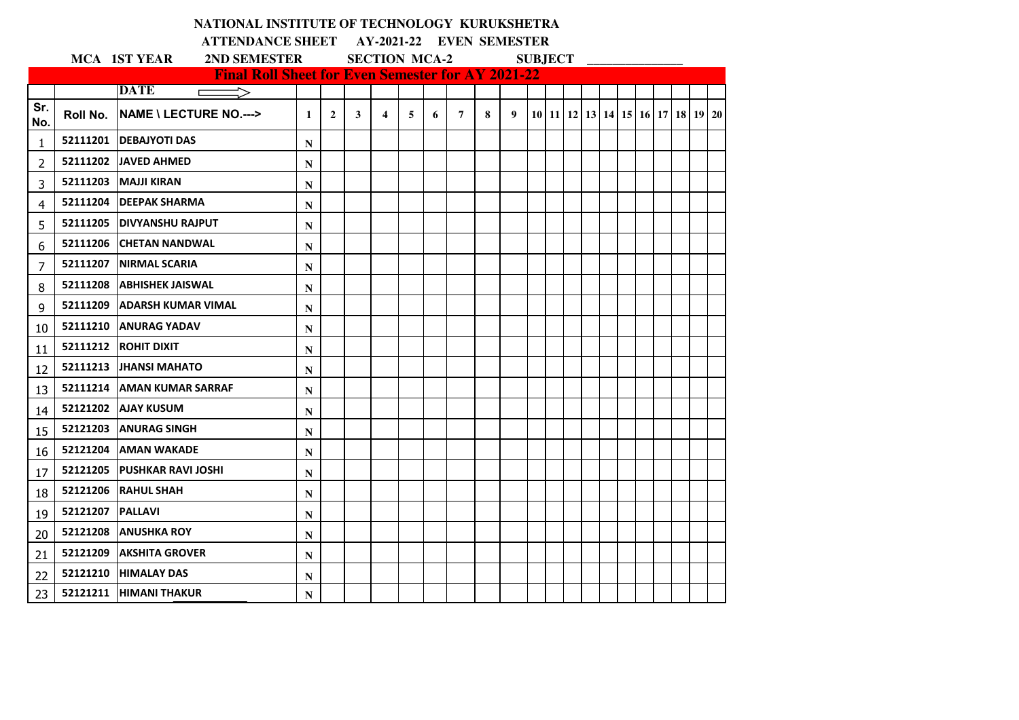|                 |                    | NATIONAL INSTITUTE OF TECHNOLOGY KURUKSHETRA                            |              |                |   |                         |   |   |                |   |   |                |  |  |  |  |                                  |  |
|-----------------|--------------------|-------------------------------------------------------------------------|--------------|----------------|---|-------------------------|---|---|----------------|---|---|----------------|--|--|--|--|----------------------------------|--|
|                 |                    | <b>ATTENDANCE SHEET AY-2021-22 EVEN SEMESTER</b>                        |              |                |   |                         |   |   |                |   |   |                |  |  |  |  |                                  |  |
|                 |                    | <b>MCA 1ST YEAR</b><br>2ND SEMESTER                                     |              |                |   | <b>SECTION MCA-2</b>    |   |   |                |   |   | <b>SUBJECT</b> |  |  |  |  |                                  |  |
|                 |                    | <b>Final Roll Sheet for Even Semester for AY 2021-22</b><br><b>DATE</b> |              |                |   |                         |   |   |                |   |   |                |  |  |  |  |                                  |  |
| Sr.<br>No.      | Roll No.           | ⊏<br><b>NAME \ LECTURE NO.---&gt;</b>                                   | $\mathbf{1}$ | $\overline{2}$ | 3 | $\overline{\mathbf{4}}$ | 5 | 6 | $\overline{7}$ | 8 | 9 |                |  |  |  |  | 10 11 12 13 14 15 16 17 18 19 20 |  |
| 1               |                    | 52111201   DEBAJYOTI DAS                                                | N            |                |   |                         |   |   |                |   |   |                |  |  |  |  |                                  |  |
| $\overline{2}$  |                    | 52111202 JJAVED AHMED                                                   | N            |                |   |                         |   |   |                |   |   |                |  |  |  |  |                                  |  |
| 3               |                    | 52111203 MAJJI KIRAN                                                    | N            |                |   |                         |   |   |                |   |   |                |  |  |  |  |                                  |  |
| 4               |                    | 52111204 DEEPAK SHARMA                                                  | N            |                |   |                         |   |   |                |   |   |                |  |  |  |  |                                  |  |
| 5               |                    | 52111205 DIVYANSHU RAJPUT                                               | N            |                |   |                         |   |   |                |   |   |                |  |  |  |  |                                  |  |
| 6               |                    | 52111206 CHETAN NANDWAL                                                 | N            |                |   |                         |   |   |                |   |   |                |  |  |  |  |                                  |  |
| $\overline{7}$  |                    | 52111207 INIRMAL SCARIA                                                 | N            |                |   |                         |   |   |                |   |   |                |  |  |  |  |                                  |  |
| 8               |                    | 52111208 ABHISHEK JAISWAL                                               | N            |                |   |                         |   |   |                |   |   |                |  |  |  |  |                                  |  |
| 9               |                    | 52111209 ADARSH KUMAR VIMAL                                             | N            |                |   |                         |   |   |                |   |   |                |  |  |  |  |                                  |  |
| 10              |                    | 52111210 ANURAG YADAV                                                   | N            |                |   |                         |   |   |                |   |   |                |  |  |  |  |                                  |  |
| 11              | 52111212           | <b>ROHIT DIXIT</b>                                                      | N            |                |   |                         |   |   |                |   |   |                |  |  |  |  |                                  |  |
| 12              |                    | 52111213 JHANSI MAHATO                                                  | N            |                |   |                         |   |   |                |   |   |                |  |  |  |  |                                  |  |
| 13              |                    | 52111214   AMAN KUMAR SARRAF                                            | N            |                |   |                         |   |   |                |   |   |                |  |  |  |  |                                  |  |
| 14              |                    | 52121202 AJAY KUSUM                                                     | N            |                |   |                         |   |   |                |   |   |                |  |  |  |  |                                  |  |
| 15              |                    | 52121203 ANURAG SINGH                                                   | N            |                |   |                         |   |   |                |   |   |                |  |  |  |  |                                  |  |
| 16              |                    | 52121204 AMAN WAKADE                                                    | N            |                |   |                         |   |   |                |   |   |                |  |  |  |  |                                  |  |
| 17              |                    | 52121205 PUSHKAR RAVI JOSHI                                             | N            |                |   |                         |   |   |                |   |   |                |  |  |  |  |                                  |  |
| 18              |                    | 52121206 RAHUL SHAH                                                     | N            |                |   |                         |   |   |                |   |   |                |  |  |  |  |                                  |  |
| 19              | 52121207   PALLAVI |                                                                         | N            |                |   |                         |   |   |                |   |   |                |  |  |  |  |                                  |  |
| 20              |                    | 52121208 ANUSHKA ROY                                                    | N            |                |   |                         |   |   |                |   |   |                |  |  |  |  |                                  |  |
| 21              |                    | <b>52121209 LAKSHITA GROVER</b>                                         | N            |                |   |                         |   |   |                |   |   |                |  |  |  |  |                                  |  |
| 22              |                    | 52121210 HIMALAY DAS                                                    | N            |                |   |                         |   |   |                |   |   |                |  |  |  |  |                                  |  |
| 23 <sub>1</sub> |                    | 52121211  HIMANI THAKUR                                                 | N            |                |   |                         |   |   |                |   |   |                |  |  |  |  |                                  |  |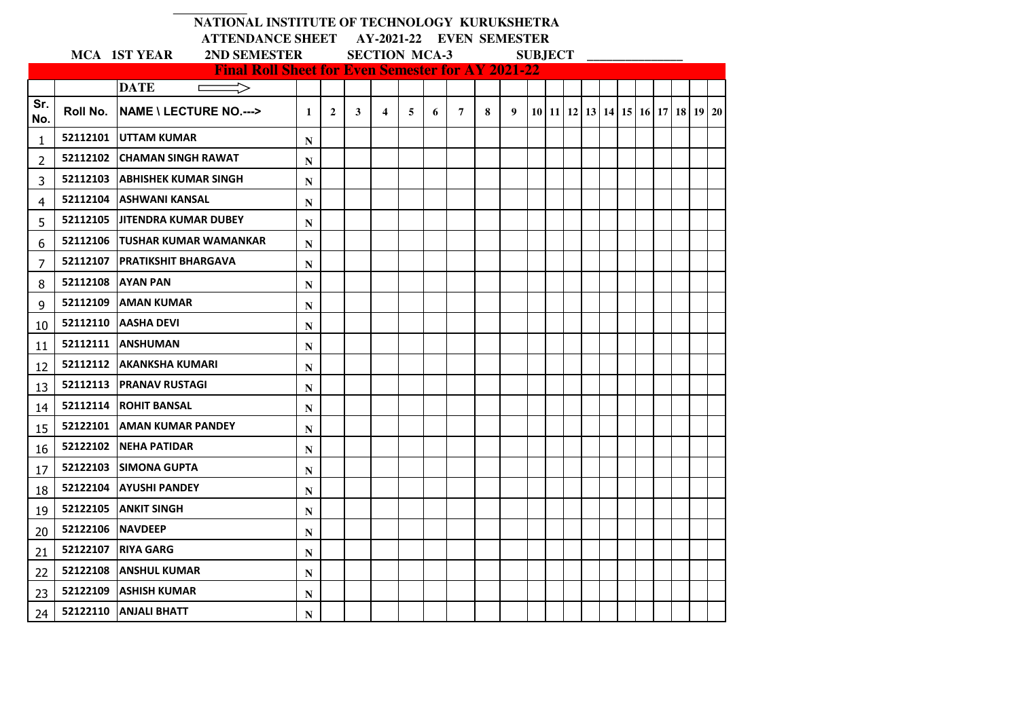| NATIONAL INSTITUTE OF TECHNOLOGY KURUKSHETRA |
|----------------------------------------------|
|----------------------------------------------|

 $\overline{\phantom{0}}$ 

**ATTENDANCE SHEET AY-2021-22 EVEN SEMESTER** 

|              | <b>MCA 1ST YEAR</b><br>2ND SEMESTER |                                                          |   |                |   |                         | <b>SECTION MCA-3</b><br><b>SUBJECT</b> |   |   |   |   |  |  |  |  |  |  |  |  |                                  |  |  |  |  |  |  |
|--------------|-------------------------------------|----------------------------------------------------------|---|----------------|---|-------------------------|----------------------------------------|---|---|---|---|--|--|--|--|--|--|--|--|----------------------------------|--|--|--|--|--|--|
|              |                                     | <b>Final Roll Sheet for Even Semester for AY 2021-22</b> |   |                |   |                         |                                        |   |   |   |   |  |  |  |  |  |  |  |  |                                  |  |  |  |  |  |  |
|              |                                     | <b>DATE</b><br>$\Rightarrow$<br>$\Box$                   |   |                |   |                         |                                        |   |   |   |   |  |  |  |  |  |  |  |  |                                  |  |  |  |  |  |  |
| Sr.<br>No.   | Roll No.                            | <b>NAME \ LECTURE NO.---&gt;</b>                         | 1 | $\overline{2}$ | 3 | $\overline{\mathbf{4}}$ | 5                                      | 6 | 7 | 8 | 9 |  |  |  |  |  |  |  |  | 10 11 12 13 14 15 16 17 18 19 20 |  |  |  |  |  |  |
| $\mathbf{1}$ |                                     | 52112101 UTTAM KUMAR                                     | N |                |   |                         |                                        |   |   |   |   |  |  |  |  |  |  |  |  |                                  |  |  |  |  |  |  |
| $\mathbf{2}$ |                                     | 52112102 CHAMAN SINGH RAWAT                              | N |                |   |                         |                                        |   |   |   |   |  |  |  |  |  |  |  |  |                                  |  |  |  |  |  |  |
| 3            |                                     | 52112103 ABHISHEK KUMAR SINGH                            | N |                |   |                         |                                        |   |   |   |   |  |  |  |  |  |  |  |  |                                  |  |  |  |  |  |  |
| 4            |                                     | 52112104 ASHWANI KANSAL                                  | N |                |   |                         |                                        |   |   |   |   |  |  |  |  |  |  |  |  |                                  |  |  |  |  |  |  |
| 5            |                                     | 52112105 UITENDRA KUMAR DUBEY                            | N |                |   |                         |                                        |   |   |   |   |  |  |  |  |  |  |  |  |                                  |  |  |  |  |  |  |
| 6            |                                     | 52112106 TUSHAR KUMAR WAMANKAR                           | N |                |   |                         |                                        |   |   |   |   |  |  |  |  |  |  |  |  |                                  |  |  |  |  |  |  |
| 7            |                                     | 52112107   PRATIKSHIT BHARGAVA                           | N |                |   |                         |                                        |   |   |   |   |  |  |  |  |  |  |  |  |                                  |  |  |  |  |  |  |
| 8            | 52112108                            | <b>JAYAN PAN</b>                                         | N |                |   |                         |                                        |   |   |   |   |  |  |  |  |  |  |  |  |                                  |  |  |  |  |  |  |
| 9            |                                     | 52112109 AMAN KUMAR                                      | N |                |   |                         |                                        |   |   |   |   |  |  |  |  |  |  |  |  |                                  |  |  |  |  |  |  |
| 10           |                                     | 52112110 AASHA DEVI                                      | N |                |   |                         |                                        |   |   |   |   |  |  |  |  |  |  |  |  |                                  |  |  |  |  |  |  |
| 11           |                                     | 52112111   ANSHUMAN                                      | N |                |   |                         |                                        |   |   |   |   |  |  |  |  |  |  |  |  |                                  |  |  |  |  |  |  |
| 12           |                                     | 52112112 AKANKSHA KUMARI                                 | N |                |   |                         |                                        |   |   |   |   |  |  |  |  |  |  |  |  |                                  |  |  |  |  |  |  |
| 13           |                                     | 52112113   PRANAV RUSTAGI                                | N |                |   |                         |                                        |   |   |   |   |  |  |  |  |  |  |  |  |                                  |  |  |  |  |  |  |
| 14           |                                     | 52112114 ROHIT BANSAL                                    | N |                |   |                         |                                        |   |   |   |   |  |  |  |  |  |  |  |  |                                  |  |  |  |  |  |  |
| 15           |                                     | 52122101   AMAN KUMAR PANDEY                             | N |                |   |                         |                                        |   |   |   |   |  |  |  |  |  |  |  |  |                                  |  |  |  |  |  |  |
| 16           |                                     | 52122102 NEHA PATIDAR                                    | N |                |   |                         |                                        |   |   |   |   |  |  |  |  |  |  |  |  |                                  |  |  |  |  |  |  |
| 17           | 52122103                            | <b>ISIMONA GUPTA</b>                                     | N |                |   |                         |                                        |   |   |   |   |  |  |  |  |  |  |  |  |                                  |  |  |  |  |  |  |
| 18           |                                     | 52122104 AYUSHI PANDEY                                   | N |                |   |                         |                                        |   |   |   |   |  |  |  |  |  |  |  |  |                                  |  |  |  |  |  |  |
| 19           | 52122105                            | <b>ANKIT SINGH</b>                                       | N |                |   |                         |                                        |   |   |   |   |  |  |  |  |  |  |  |  |                                  |  |  |  |  |  |  |
| 20           | 52122106 NAVDEEP                    |                                                          | N |                |   |                         |                                        |   |   |   |   |  |  |  |  |  |  |  |  |                                  |  |  |  |  |  |  |
| 21           |                                     | 52122107 RIYA GARG                                       | N |                |   |                         |                                        |   |   |   |   |  |  |  |  |  |  |  |  |                                  |  |  |  |  |  |  |
| 22           | 52122108                            | <b>JANSHUL KUMAR</b>                                     | N |                |   |                         |                                        |   |   |   |   |  |  |  |  |  |  |  |  |                                  |  |  |  |  |  |  |
| 23           |                                     | 52122109 ASHISH KUMAR                                    | N |                |   |                         |                                        |   |   |   |   |  |  |  |  |  |  |  |  |                                  |  |  |  |  |  |  |
| 24           |                                     | 52122110 ANJALI BHATT                                    | N |                |   |                         |                                        |   |   |   |   |  |  |  |  |  |  |  |  |                                  |  |  |  |  |  |  |